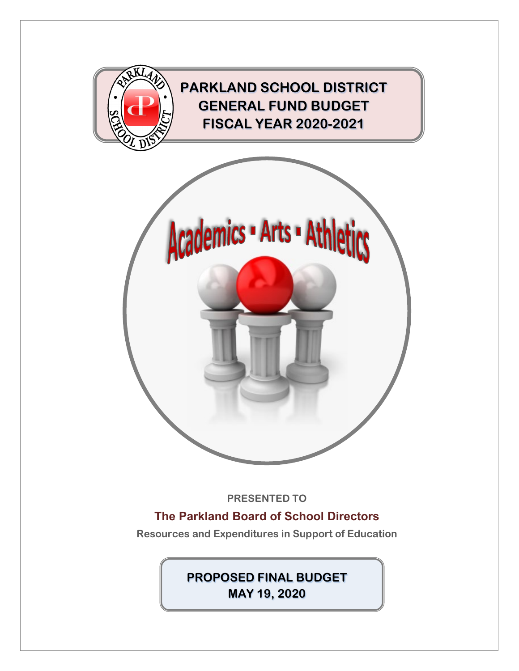

**The Parkland Board of School Directors**

**Resources and Expenditures in Support of Education**

**PROPOSED FINAL BUDGET MAY 19, 2020**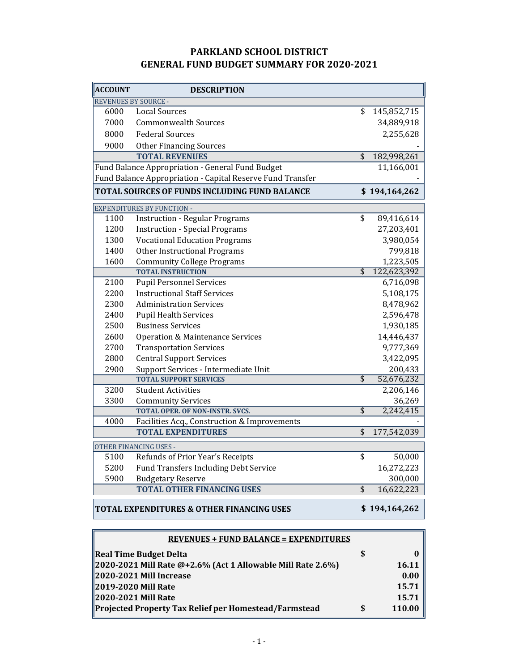#### **PARKLAND SCHOOL DISTRICT GENERAL FUND BUDGET SUMMARY FOR 2020-2021**

| <b>ACCOUNT</b>       | <b>DESCRIPTION</b>                                         |                          |               |
|----------------------|------------------------------------------------------------|--------------------------|---------------|
| REVENUES BY SOURCE - |                                                            |                          |               |
| 6000                 | <b>Local Sources</b>                                       | \$                       | 145,852,715   |
| 7000                 | <b>Commonwealth Sources</b>                                |                          | 34,889,918    |
| 8000                 | <b>Federal Sources</b>                                     |                          | 2,255,628     |
| 9000                 | <b>Other Financing Sources</b>                             |                          |               |
|                      | <b>TOTAL REVENUES</b>                                      | \$                       | 182,998,261   |
|                      | Fund Balance Appropriation - General Fund Budget           |                          | 11,166,001    |
|                      | Fund Balance Appropriation - Capital Reserve Fund Transfer |                          |               |
|                      | TOTAL SOURCES OF FUNDS INCLUDING FUND BALANCE              |                          | \$194,164,262 |
|                      | <b>EXPENDITURES BY FUNCTION -</b>                          |                          |               |
| 1100                 | <b>Instruction - Regular Programs</b>                      | \$                       | 89,416,614    |
| 1200                 | <b>Instruction - Special Programs</b>                      |                          | 27,203,401    |
| 1300                 | <b>Vocational Education Programs</b>                       |                          | 3,980,054     |
| 1400                 | Other Instructional Programs                               |                          | 799,818       |
| 1600                 | <b>Community College Programs</b>                          |                          | 1,223,505     |
|                      | <b>TOTAL INSTRUCTION</b>                                   | $\overline{\$}$          | 122,623,392   |
| 2100                 | <b>Pupil Personnel Services</b>                            |                          | 6,716,098     |
| 2200                 | <b>Instructional Staff Services</b>                        |                          | 5,108,175     |
| 2300                 | <b>Administration Services</b>                             |                          | 8,478,962     |
| 2400                 | <b>Pupil Health Services</b>                               |                          | 2,596,478     |
| 2500                 | <b>Business Services</b>                                   |                          | 1,930,185     |
| 2600                 | <b>Operation &amp; Maintenance Services</b>                |                          | 14,446,437    |
| 2700                 | <b>Transportation Services</b>                             |                          | 9,777,369     |
| 2800                 | <b>Central Support Services</b>                            |                          | 3,422,095     |
| 2900                 | Support Services - Intermediate Unit                       |                          | 200,433       |
|                      | <b>TOTAL SUPPORT SERVICES</b>                              | $\overline{\mathcal{S}}$ | 52,676,232    |
| 3200                 | <b>Student Activities</b>                                  |                          | 2,206,146     |
| 3300                 | <b>Community Services</b>                                  |                          | 36,269        |
|                      | <b>TOTAL OPER. OF NON-INSTR. SVCS.</b>                     | $\overline{\$}$          | 2,242,415     |
| 4000                 | Facilities Acq., Construction & Improvements               |                          |               |
|                      | <b>TOTAL EXPENDITURES</b>                                  | $\overline{\$}$          | 177,542,039   |
|                      | OTHER FINANCING USES -                                     |                          |               |
| 5100                 | Refunds of Prior Year's Receipts                           | \$                       | 50,000        |
| 5200                 | Fund Transfers Including Debt Service                      |                          | 16,272,223    |
| 5900                 | <b>Budgetary Reserve</b>                                   |                          | 300,000       |
|                      | <b>TOTAL OTHER FINANCING USES</b>                          | \$                       | 16,622,223    |
|                      | TOTAL EXPENDITURES & OTHER FINANCING USES                  |                          | \$194,164,262 |

| <b>REVENUES + FUND BALANCE = EXPENDITURES</b>               |   |        |  |  |  |  |  |  |
|-------------------------------------------------------------|---|--------|--|--|--|--|--|--|
| <b>Real Time Budget Delta</b>                               | S |        |  |  |  |  |  |  |
| 2020-2021 Mill Rate @+2.6% (Act 1 Allowable Mill Rate 2.6%) |   | 16.11  |  |  |  |  |  |  |
| 2020-2021 Mill Increase                                     |   | 0.00   |  |  |  |  |  |  |
| 2019-2020 Mill Rate                                         |   | 15.71  |  |  |  |  |  |  |
| 2020-2021 Mill Rate                                         |   | 15.71  |  |  |  |  |  |  |
| Projected Property Tax Relief per Homestead/Farmstead       |   | 110.00 |  |  |  |  |  |  |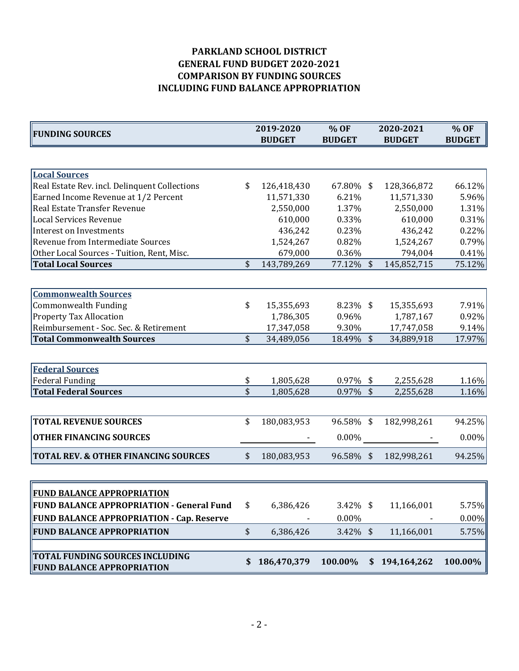## **PARKLAND SCHOOL DISTRICT GENERAL FUND BUDGET 2020-2021 COMPARISON BY FUNDING SOURCES INCLUDING FUND BALANCE APPROPRIATION**

| <b>FUNDING SOURCES</b>                          |                         | 2019-2020     | % OF          |               | 2020-2021     | % OF          |
|-------------------------------------------------|-------------------------|---------------|---------------|---------------|---------------|---------------|
|                                                 |                         | <b>BUDGET</b> | <b>BUDGET</b> |               | <b>BUDGET</b> | <b>BUDGET</b> |
|                                                 |                         |               |               |               |               |               |
| <b>Local Sources</b>                            |                         |               |               |               |               |               |
| Real Estate Rev. incl. Delinquent Collections   | \$                      | 126,418,430   | 67.80% \$     |               | 128,366,872   | 66.12%        |
| Earned Income Revenue at 1/2 Percent            |                         | 11,571,330    | 6.21%         |               | 11,571,330    | 5.96%         |
| Real Estate Transfer Revenue                    |                         | 2,550,000     | 1.37%         |               | 2,550,000     | 1.31%         |
| <b>Local Services Revenue</b>                   |                         | 610,000       | 0.33%         |               | 610,000       | $0.31\%$      |
| <b>Interest on Investments</b>                  |                         | 436,242       | 0.23%         |               | 436,242       | 0.22%         |
| Revenue from Intermediate Sources               |                         | 1,524,267     | 0.82%         |               | 1,524,267     | 0.79%         |
| Other Local Sources - Tuition, Rent, Misc.      |                         | 679,000       | 0.36%         |               | 794,004       | 0.41%         |
| <b>Total Local Sources</b>                      | \$                      | 143,789,269   | 77.12% \$     |               | 145,852,715   | 75.12%        |
|                                                 |                         |               |               |               |               |               |
| <b>Commonwealth Sources</b>                     |                         |               |               |               |               |               |
| <b>Commonwealth Funding</b>                     | \$                      | 15,355,693    | 8.23% \$      |               | 15,355,693    | 7.91%         |
| <b>Property Tax Allocation</b>                  |                         | 1,786,305     | 0.96%         |               | 1,787,167     | 0.92%         |
| Reimbursement - Soc. Sec. & Retirement          |                         | 17,347,058    | 9.30%         |               | 17,747,058    | 9.14%         |
| <b>Total Commonwealth Sources</b>               | \$                      | 34,489,056    | 18.49% \$     |               | 34,889,918    | 17.97%        |
|                                                 |                         |               |               |               |               |               |
| <b>Federal Sources</b>                          |                         |               |               |               |               |               |
| <b>Federal Funding</b>                          | \$                      | 1,805,628     | $0.97\%$ \$   |               | 2,255,628     | 1.16%         |
| <b>Total Federal Sources</b>                    | $\overline{\mathsf{s}}$ | 1,805,628     | 0.97% \$      |               | 2,255,628     | 1.16%         |
|                                                 |                         |               |               |               |               |               |
| <b>TOTAL REVENUE SOURCES</b>                    | \$                      | 180,083,953   | 96.58% \$     |               | 182,998,261   | 94.25%        |
| <b>OTHER FINANCING SOURCES</b>                  |                         |               | 0.00%         |               |               | 0.00%         |
| <b>TOTAL REV. &amp; OTHER FINANCING SOURCES</b> | \$                      | 180,083,953   | 96.58% \$     |               | 182,998,261   | 94.25%        |
|                                                 |                         |               |               |               |               |               |
|                                                 |                         |               |               |               |               |               |
| <b>FUND BALANCE APPROPRIATION</b>               |                         |               |               |               |               |               |
| FUND BALANCE APPROPRIATION - General Fund       | \$                      | 6,386,426     | $3.42\%$ \$   |               | 11,166,001    | 5.75%         |
| FUND BALANCE APPROPRIATION - Cap. Reserve       |                         |               | $0.00\%$      |               |               | $0.00\%$      |
| <b>FUND BALANCE APPROPRIATION</b>               | \$                      | 6,386,426     | 3.42% \$      |               | 11,166,001    | 5.75%         |
|                                                 |                         |               |               |               |               |               |
| TOTAL FUNDING SOURCES INCLUDING                 | S                       | 186,470,379   | 100.00%       | <sup>\$</sup> | 194,164,262   | 100.00%       |
| <b>FUND BALANCE APPROPRIATION</b>               |                         |               |               |               |               |               |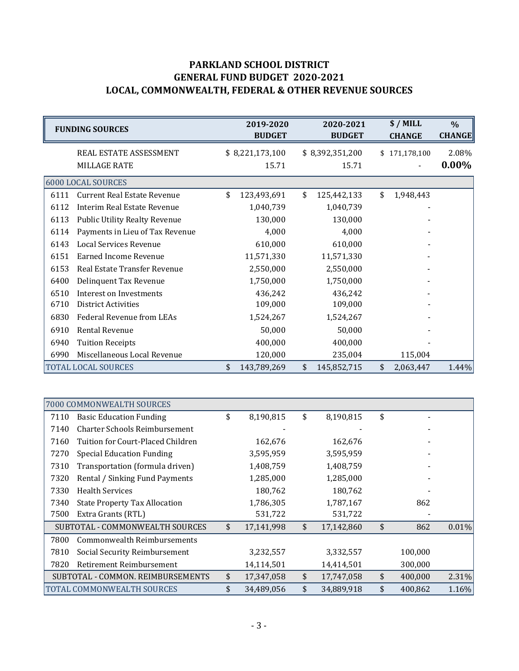# **PARKLAND SCHOOL DISTRICT GENERAL FUND BUDGET 2020-2021 LOCAL, COMMONWEALTH, FEDERAL & OTHER REVENUE SOURCES**

|      | <b>FUNDING SOURCES</b>               | 2019-2020<br><b>BUDGET</b> |                 |    | 2020-2021<br><b>BUDGET</b> | $$/$ MILL<br><b>CHANGE</b> | $\frac{0}{0}$<br><b>CHANGE</b> |
|------|--------------------------------------|----------------------------|-----------------|----|----------------------------|----------------------------|--------------------------------|
|      | REAL ESTATE ASSESSMENT               |                            | \$8,221,173,100 |    | \$8,392,351,200            | \$171,178,100              | 2.08%                          |
|      | <b>MILLAGE RATE</b>                  |                            | 15.71           |    | 15.71                      |                            | $0.00\%$                       |
|      | 6000 LOCAL SOURCES                   |                            |                 |    |                            |                            |                                |
| 6111 | <b>Current Real Estate Revenue</b>   | \$                         | 123,493,691     | \$ | 125,442,133                | \$<br>1,948,443            |                                |
| 6112 | <b>Interim Real Estate Revenue</b>   |                            | 1,040,739       |    | 1,040,739                  |                            |                                |
| 6113 | <b>Public Utility Realty Revenue</b> |                            | 130,000         |    | 130,000                    |                            |                                |
| 6114 | Payments in Lieu of Tax Revenue      |                            | 4,000           |    | 4,000                      |                            |                                |
| 6143 | Local Services Revenue               |                            | 610,000         |    | 610,000                    |                            |                                |
| 6151 | <b>Earned Income Revenue</b>         |                            | 11,571,330      |    | 11,571,330                 |                            |                                |
| 6153 | Real Estate Transfer Revenue         |                            | 2,550,000       |    | 2,550,000                  |                            |                                |
| 6400 | Delinquent Tax Revenue               |                            | 1,750,000       |    | 1,750,000                  |                            |                                |
| 6510 | Interest on Investments              |                            | 436,242         |    | 436,242                    |                            |                                |
| 6710 | <b>District Activities</b>           |                            | 109,000         |    | 109,000                    |                            |                                |
| 6830 | Federal Revenue from LEAs            |                            | 1,524,267       |    | 1,524,267                  |                            |                                |
| 6910 | Rental Revenue                       |                            | 50,000          |    | 50,000                     |                            |                                |
| 6940 | <b>Tuition Receipts</b>              |                            | 400,000         |    | 400,000                    |                            |                                |
| 6990 | Miscellaneous Local Revenue          |                            | 120,000         |    | 235,004                    | 115,004                    |                                |
|      | <b>TOTAL LOCAL SOURCES</b>           | \$                         | 143,789,269     | \$ | 145,852,715                | \$<br>2,063,447            | 1.44%                          |

|      | 7000 COMMONWEALTH SOURCES            |                  |                  |               |          |
|------|--------------------------------------|------------------|------------------|---------------|----------|
| 7110 | <b>Basic Education Funding</b>       | \$<br>8,190,815  | \$<br>8,190,815  | \$            |          |
| 7140 | <b>Charter Schools Reimbursement</b> |                  |                  |               |          |
| 7160 | Tuition for Court-Placed Children    | 162,676          | 162,676          |               |          |
| 7270 | Special Education Funding            | 3,595,959        | 3,595,959        |               |          |
| 7310 | Transportation (formula driven)      | 1,408,759        | 1,408,759        |               |          |
| 7320 | Rental / Sinking Fund Payments       | 1,285,000        | 1,285,000        |               |          |
| 7330 | <b>Health Services</b>               | 180,762          | 180,762          |               |          |
| 7340 | <b>State Property Tax Allocation</b> | 1,786,305        | 1,787,167        | 862           |          |
| 7500 | Extra Grants (RTL)                   | 531,722          | 531,722          |               |          |
|      | SUBTOTAL - COMMONWEALTH SOURCES      | \$<br>17,141,998 | \$<br>17,142,860 | \$<br>862     | $0.01\%$ |
| 7800 | Commonwealth Reimbursements          |                  |                  |               |          |
| 7810 | Social Security Reimbursement        | 3,232,557        | 3,332,557        | 100,000       |          |
| 7820 | Retirement Reimbursement             | 14,114,501       | 14,414,501       | 300,000       |          |
|      | SUBTOTAL - COMMON. REIMBURSEMENTS    | \$<br>17,347,058 | \$<br>17,747,058 | \$<br>400,000 | 2.31%    |
|      | TOTAL COMMONWEALTH SOURCES           | \$<br>34,489,056 | \$<br>34,889,918 | \$<br>400,862 | 1.16%    |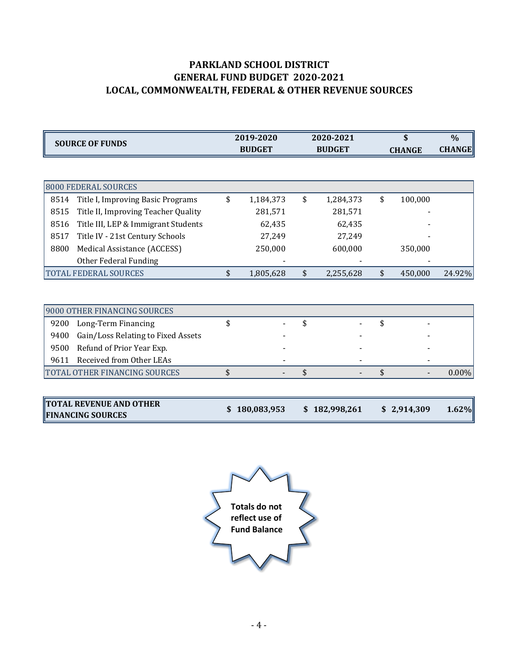# **PARKLAND SCHOOL DISTRICT GENERAL FUND BUDGET 2020-2021 LOCAL, COMMONWEALTH, FEDERAL & OTHER REVENUE SOURCES**

| <b>SOURCE OF FUNDS</b>                      | 2019-2020<br><b>BUDGET</b> | 2020-2021<br><b>BUDGET</b> | \$<br><b>CHANGE</b> | $\frac{0}{0}$<br><b>CHANGE</b> |
|---------------------------------------------|----------------------------|----------------------------|---------------------|--------------------------------|
|                                             |                            |                            |                     |                                |
| 8000 FEDERAL SOURCES                        |                            |                            |                     |                                |
| Title I, Improving Basic Programs<br>8514   | \$<br>1,184,373            | \$<br>1,284,373            | \$<br>100,000       |                                |
| 8515<br>Title II, Improving Teacher Quality | 281,571                    | 281,571                    |                     |                                |
| 8516<br>Title III, LEP & Immigrant Students | 62,435                     | 62,435                     |                     |                                |
| Title IV - 21st Century Schools<br>8517     | 27,249                     | 27,249                     |                     |                                |
| 8800<br>Medical Assistance (ACCESS)         | 250,000                    | 600,000                    | 350,000             |                                |
| Other Federal Funding                       |                            |                            |                     |                                |
| <b>TOTAL FEDERAL SOURCES</b>                | \$<br>1,805,628            | \$<br>2,255,628            | \$<br>450,000       | 24.92%                         |
|                                             |                            |                            |                     |                                |
| 9000 OTHER FINANCING SOURCES                |                            |                            |                     |                                |
| 9200<br>Long-Term Financing                 | \$                         | \$                         | \$                  |                                |
| 9400<br>Gain/Loss Relating to Fixed Assets  |                            |                            |                     |                                |
| 9500<br>Refund of Prior Year Exp.           |                            |                            |                     |                                |
| $0.611$ Deceived from $0$ ther $0.52$       |                            |                            |                     |                                |

| <b>461</b> | Received from Other LEAS      |  |  |  |        |
|------------|-------------------------------|--|--|--|--------|
|            | TOTAL OTHER FINANCING SOURCES |  |  |  | $00\%$ |
|            |                               |  |  |  |        |

| <b>TOTAL REVENUE AND OTHER</b><br>\$180,083,953<br>\$2,914,309<br>\$182,998,261<br><b>FINANCING SOURCES</b> |  |  | 1.62% |
|-------------------------------------------------------------------------------------------------------------|--|--|-------|
|-------------------------------------------------------------------------------------------------------------|--|--|-------|

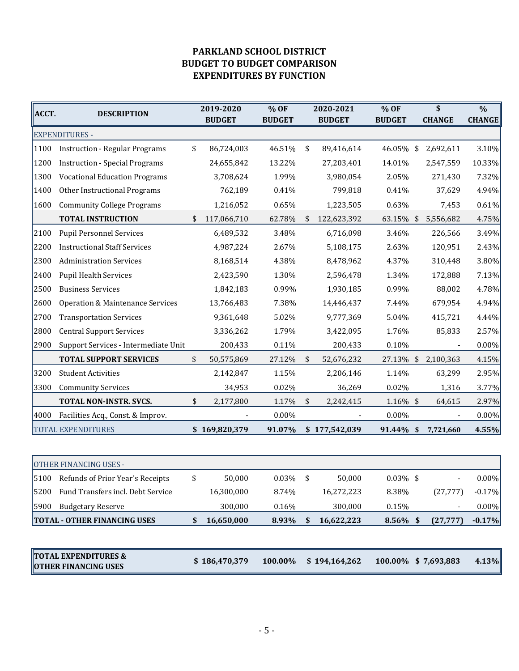## **PARKLAND SCHOOL DISTRICT BUDGET TO BUDGET COMPARISON EXPENDITURES BY FUNCTION**

| ∥ACCT. | <b>DESCRIPTION</b>                    | 2019-2020<br><b>BUDGET</b> | % OF<br><b>BUDGET</b> | 2020-2021<br><b>BUDGET</b> | % OF<br><b>BUDGET</b> |            | \$<br><b>CHANGE</b> | $\frac{0}{0}$<br><b>CHANGE</b> |
|--------|---------------------------------------|----------------------------|-----------------------|----------------------------|-----------------------|------------|---------------------|--------------------------------|
|        | <b>EXPENDITURES -</b>                 |                            |                       |                            |                       |            |                     |                                |
| 1100   | <b>Instruction - Regular Programs</b> | \$<br>86,724,003           | 46.51%                | \$<br>89,416,614           | 46.05%                | \$         | 2,692,611           | 3.10%                          |
| 1200   | <b>Instruction - Special Programs</b> | 24,655,842                 | 13.22%                | 27,203,401                 | 14.01%                |            | 2,547,559           | 10.33%                         |
| 1300   | <b>Vocational Education Programs</b>  | 3,708,624                  | 1.99%                 | 3,980,054                  | 2.05%                 |            | 271,430             | 7.32%                          |
| 1400   | Other Instructional Programs          | 762,189                    | 0.41%                 | 799,818                    | 0.41%                 |            | 37,629              | 4.94%                          |
| 1600   | <b>Community College Programs</b>     | 1,216,052                  | 0.65%                 | 1,223,505                  | 0.63%                 |            | 7,453               | 0.61%                          |
|        | <b>TOTAL INSTRUCTION</b>              | \$<br>117,066,710          | 62.78%                | \$<br>122,623,392          | 63.15%                | $\sqrt{2}$ | 5,556,682           | 4.75%                          |
| 2100   | <b>Pupil Personnel Services</b>       | 6,489,532                  | 3.48%                 | 6,716,098                  | 3.46%                 |            | 226,566             | 3.49%                          |
| 2200   | <b>Instructional Staff Services</b>   | 4,987,224                  | 2.67%                 | 5,108,175                  | 2.63%                 |            | 120,951             | 2.43%                          |
| 2300   | <b>Administration Services</b>        | 8,168,514                  | 4.38%                 | 8,478,962                  | 4.37%                 |            | 310,448             | 3.80%                          |
| 2400   | <b>Pupil Health Services</b>          | 2,423,590                  | 1.30%                 | 2,596,478                  | 1.34%                 |            | 172,888             | 7.13%                          |
| 2500   | <b>Business Services</b>              | 1,842,183                  | 0.99%                 | 1,930,185                  | 0.99%                 |            | 88,002              | 4.78%                          |
| 2600   | Operation & Maintenance Services      | 13,766,483                 | 7.38%                 | 14,446,437                 | 7.44%                 |            | 679,954             | 4.94%                          |
| 2700   | <b>Transportation Services</b>        | 9,361,648                  | 5.02%                 | 9,777,369                  | 5.04%                 |            | 415,721             | 4.44%                          |
| 2800   | <b>Central Support Services</b>       | 3,336,262                  | 1.79%                 | 3,422,095                  | 1.76%                 |            | 85,833              | 2.57%                          |
| 2900   | Support Services - Intermediate Unit  | 200,433                    | 0.11%                 | 200,433                    | 0.10%                 |            |                     | $0.00\%$                       |
|        | <b>TOTAL SUPPORT SERVICES</b>         | \$<br>50,575,869           | 27.12%                | \$<br>52,676,232           | 27.13% \$             |            | 2,100,363           | 4.15%                          |
| 3200   | <b>Student Activities</b>             | 2,142,847                  | 1.15%                 | 2,206,146                  | 1.14%                 |            | 63,299              | 2.95%                          |
| 3300   | <b>Community Services</b>             | 34,953                     | 0.02%                 | 36,269                     | 0.02%                 |            | 1,316               | 3.77%                          |
|        | TOTAL NON-INSTR. SVCS.                | \$<br>2,177,800            | 1.17%                 | \$<br>2,242,415            | 1.16% \$              |            | 64,615              | 2.97%                          |
| 4000   | Facilities Acq., Const. & Improv.     |                            | 0.00%                 |                            | 0.00%                 |            |                     | $0.00\%$                       |
|        | <b>TOTAL EXPENDITURES</b>             | \$169,820,379              | 91.07%                | \$177,542,039              | 91.44% \$             |            | 7,721,660           | 4.55%                          |

| <b>OTHER FINANCING USES -</b>                                  |    |               |             |   |               |             |    |                          |          |
|----------------------------------------------------------------|----|---------------|-------------|---|---------------|-------------|----|--------------------------|----------|
| 15100<br>Refunds of Prior Year's Receipts                      | \$ | 50,000        | $0.03\%$ \$ |   | 50,000        | $0.03\%$ \$ |    | $\overline{\phantom{a}}$ | $0.00\%$ |
| Fund Transfers incl. Debt Service<br>15200                     |    | 16,300,000    | 8.74%       |   | 16,272,223    | 8.38%       |    | (27, 777)                | $-0.17%$ |
| 5900<br><b>Budgetary Reserve</b>                               |    | 300,000       | 0.16%       |   | 300,000       | 0.15%       |    | $\overline{\phantom{a}}$ | $0.00\%$ |
| <b>TOTAL - OTHER FINANCING USES</b>                            | S. | 16,650,000    | 8.93%       | S | 16,622,223    | 8.56%       | -S | (27, 777)                | $-0.17%$ |
|                                                                |    |               |             |   |               |             |    |                          |          |
| <b>TOTAL EXPENDITURES &amp;</b><br><b>OTHER FINANCING USES</b> |    | \$186,470,379 | 100.00%     |   | \$194,164,262 |             |    | 100.00% \$7,693,883      | 4.13%    |